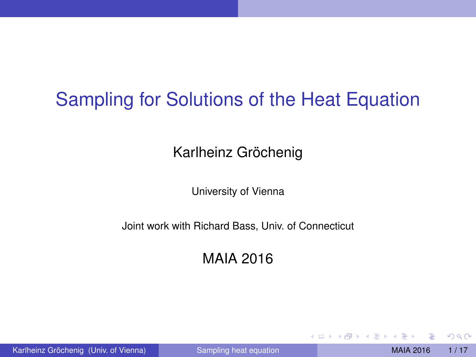# Sampling for Solutions of the Heat Equation

Karlheinz Gröchenig

University of Vienna

Joint work with Richard Bass, Univ. of Connecticut

MAIA 2016

Karlheinz Gröchenig (Univ. of Vienna) [Sampling heat equation](#page-16-0) MAIA 2016 1/17

<span id="page-0-0"></span> $QQ$ 

イロト イ押ト イヨト イヨ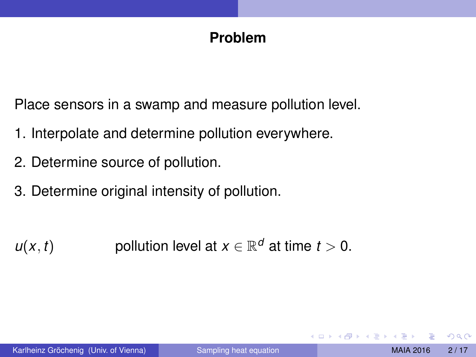### **Problem**

Place sensors in a swamp and measure pollution level.

- 1. Interpolate and determine pollution everywhere.
- 2. Determine source of pollution.
- 3. Determine original intensity of pollution.

 $u(x, t)$  pollution level at  $x \in \mathbb{R}^d$  at time  $t > 0$ .

 $\Omega$ 

 $\rightarrow$   $\equiv$   $\rightarrow$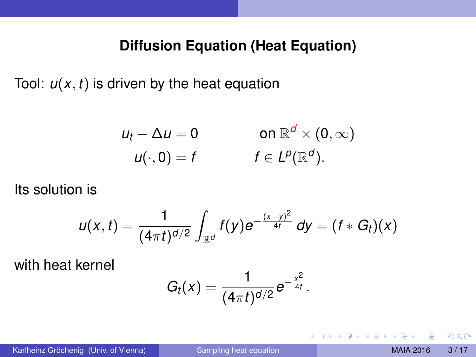#### **Diffusion Equation (Heat Equation)**

Tool:  $u(x, t)$  is driven by the heat equation

$$
u_t - \Delta u = 0 \qquad \text{on } \mathbb{R}^d \times (0, \infty)
$$
  

$$
u(\cdot, 0) = f \qquad \qquad f \in L^p(\mathbb{R}^d).
$$

Its solution is

$$
u(x,t)=\frac{1}{(4\pi t)^{d/2}}\int_{\mathbb{R}^d}f(y)e^{-\frac{(x-y)^2}{4t}}\,dy=(f*G_t)(x)
$$

with heat kernel

$$
G_t(x)=\frac{1}{(4\pi t)^{d/2}}e^{-\frac{x^2}{4t}}.
$$

 $QQQ$ 

4 (D) 3 (F) 3 (F) 3 (F)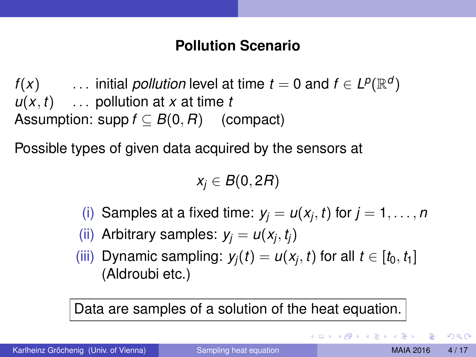#### **Pollution Scenario**

*f*(*x*)  $\cdots$  initial *pollution* level at time *t* = 0 and *f*  $\in$  *L*<sup>*p*</sup>( $\mathbb{R}^{d}$ )  $u(x, t)$  ... pollution at *x* at time *t* Assumption: supp  $f \subset B(0,R)$  (compact)

Possible types of given data acquired by the sensors at

*x<sup>j</sup>* ∈ *B*(0, 2*R*)

(i) Samples at a fixed time:  $y_j = u(x_j, t)$  for  $j = 1, \ldots, n$ 

(ii) Arbitrary samples:  $y_j = u(x_j, t_j)$ 

(iii) Dynamic sampling:  $y_j(t) = u(x_j, t)$  for all  $t \in [t_0, t_1]$ (Aldroubi etc.)

Data are samples of a solution of the heat equation.

 $QQQ$ 

 $(0.125 \times 10^{-14} \text{ m}) \times 10^{-14} \text{ m}$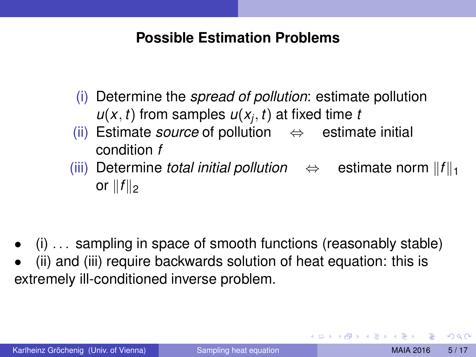#### **Possible Estimation Problems**

- (i) Determine the *spread of pollution*: estimate pollution  $u(x, t)$  from samples  $u(x_j, t)$  at fixed time *t*
- (ii) Estimate *source* of pollution ⇔ estimate initial condition *f*
- $(iii)$  Determine *total initial pollution*  $\Leftrightarrow$  estimate norm  $||f||_1$ or  $||f||_2$

- (i) . . . sampling in space of smooth functions (reasonably stable)
- (ii) and (iii) require backwards solution of heat equation: this is extremely ill-conditioned inverse problem.

 $\Omega$ 

イロト イ押ト イヨト イヨト ニヨ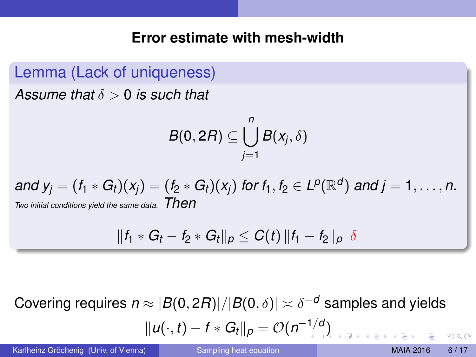#### **Error estimate with mesh-width**

Lemma (Lack of uniqueness) *Assume that* δ > 0 *is such that*

> $B(0, 2R) \subseteq \bigcup^{n} B(x_j, \delta)$ *j*=1

*and y<sub>j</sub>* =  $(f_1 * G_t)(x_j) = (f_2 * G_t)(x_j)$  *for*  $f_1, f_2 \in L^p(\mathbb{R}^d)$  *and j* = 1, . . . , *n*. *Two initial conditions yield the same data. Then*

$$
||f_1 * G_t - f_2 * G_t||_p \leq C(t) ||f_1 - f_2||_p \delta
$$

Covering requires  $n \approx |B(0,2R)|/|B(0,\delta)| \asymp \delta^{-d}$  samples and yields

$$
||u(\cdot,t)-f*G_t||_p=\mathcal{O}(n^{-1/d})
$$

Karlheinz Gröchenig (Univ. of Vienna) [Sampling heat equation](#page-0-0) MAIA 2016 6/17

 $\Omega$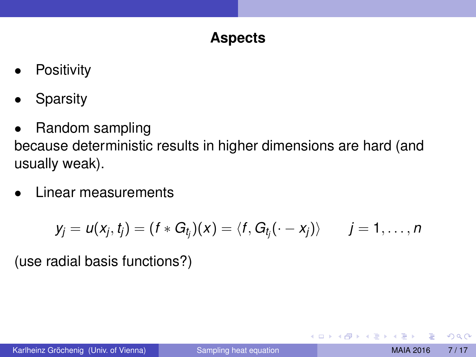## **Aspects**

- **Positivity**
- **Sparsity**
- Random sampling

because deterministic results in higher dimensions are hard (and usually weak).

• Linear measurements

$$
y_j = u(x_j, t_j) = (f \ast G_{t_j})(x) = \langle f, G_{t_j}(\cdot - x_j) \rangle \qquad j = 1, \ldots, n
$$

(use radial basis functions?)

<span id="page-6-0"></span> $\Omega$ 

 $A \equiv 0.4 \equiv$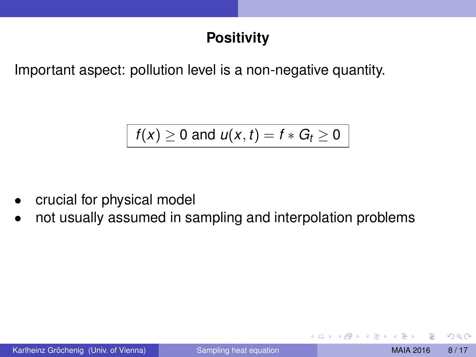# **Positivity**

Important aspect: pollution level is a non-negative quantity.

$$
f(x) \geq 0 \text{ and } u(x,t) = f * G_t \geq 0
$$

- crucial for physical model
- not usually assumed in sampling and interpolation problems

 $\Omega$ 

イロト イ押ト イヨト イヨ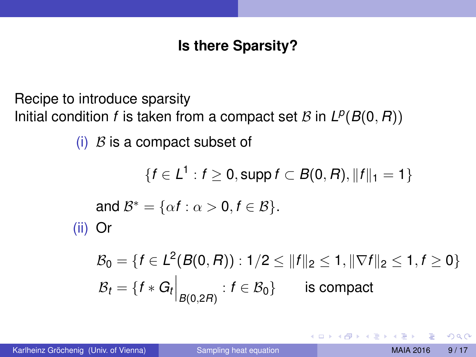# **Is there Sparsity?**

Recipe to introduce sparsity Initial condition *f* is taken from a compact set *B* in  $L^p(B(0, R))$ 

(i)  $\beta$  is a compact subset of

 $\{f \in L^1 : f \geq 0, \text{supp } f \subset B(0,R), \|f\|_1 = 1\}$ and  $\mathcal{B}^* = \{\alpha f : \alpha > 0, f \in \mathcal{B}\}.$ (ii) Or

$$
\mathcal{B}_0 = \{ f \in L^2(B(0, R)) : 1/2 \le ||f||_2 \le 1, ||\nabla f||_2 \le 1, f \ge 0 \}
$$
  

$$
\mathcal{B}_t = \{ f * G_t \Big|_{B(0, 2R)} : f \in \mathcal{B}_0 \}
$$
 is compact

 $\Omega$ 

イロト イ押 トイラト イラト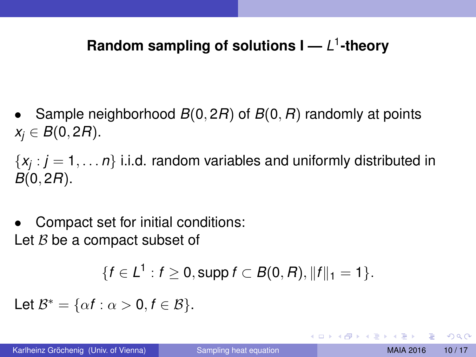# Random sampling of solutions **I** — *L*<sup>1</sup>-theory

• Sample neighborhood *B*(0, 2*R*) of *B*(0, *R*) randomly at points *x*<sup>*j*</sup> ∈ *B*(0, 2*R*).

{*x<sup>j</sup>* : *j* = 1, . . . *n*} i.i.d. random variables and uniformly distributed in *B*(0, 2*R*).

• Compact set for initial conditions: Let  $B$  be a compact subset of

$$
\{f\in L^1: f\geq 0, \text{supp } f\subset B(0,R), \|f\|_1=1\}.
$$

Let  $\mathcal{B}^* = \{\alpha f : \alpha > 0, f \in \mathcal{B}\}.$ 

<span id="page-9-0"></span> $\Omega$ 

イロト イ押ト イヨト イヨトー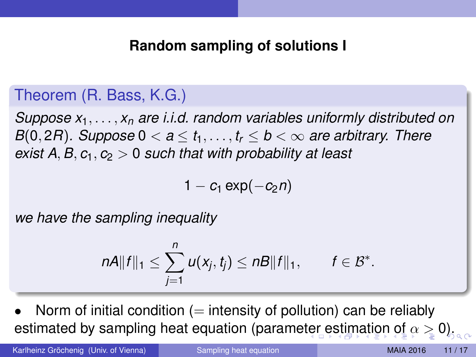#### **Random sampling of solutions I**

#### Theorem (R. Bass, K.G.)

*Suppose x*1, . . . , *x<sup>n</sup> are i.i.d. random variables uniformly distributed on B*(0, 2*R*)*.* Suppose  $0 < a \le t_1, \ldots, t_r \le b < \infty$  are arbitrary. There *exist A, B,*  $c_1$ *,*  $c_2 > 0$  *such that with probability at least* 

<span id="page-10-0"></span>
$$
1-c_1\exp(-c_2n)
$$

*we have the sampling inequality*

$$
nA||f||_1\leq \sum_{j=1}^n u(x_j,t_j)\leq nB||f||_1, \qquad f\in \mathcal{B}^*.
$$

Norm of initial condition  $(=$  intensity of pollution) can be reliably estimated by sampling heat equation (parame[ter](#page-9-0) [e](#page-11-0)[st](#page-9-0)[im](#page-10-0)[ati](#page-0-0)[on](#page-16-0) [of](#page-0-0)  $\alpha \geq 0$  $\alpha \geq 0$ ).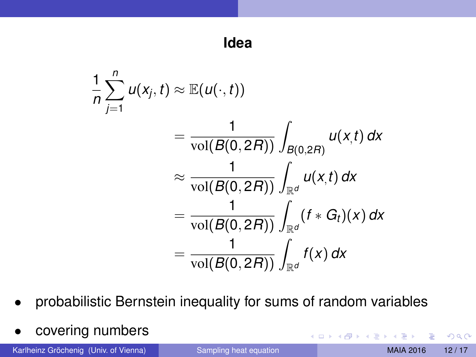$$
\frac{1}{n}\sum_{j=1}^{n}u(x_j,t) \approx \mathbb{E}(u(\cdot,t))
$$
\n
$$
= \frac{1}{\text{vol}(B(0,2R))}\int_{B(0,2R)}u(x,t) dx
$$
\n
$$
\approx \frac{1}{\text{vol}(B(0,2R))}\int_{\mathbb{R}^d}u(x,t) dx
$$
\n
$$
= \frac{1}{\text{vol}(B(0,2R))}\int_{\mathbb{R}^d} (f * G_t)(x) dx
$$
\n
$$
= \frac{1}{\text{vol}(B(0,2R))}\int_{\mathbb{R}^d} f(x) dx
$$

- probabilistic Bernstein inequality for sums of random variables
- covering numbers

Karlheinz Gröchenig (Univ. of Vienna) [Sampling heat equation](#page-0-0) MAIA 2016 12/17

<span id="page-11-0"></span> $299$ 

4 (D) 3 (F) 3 (F) 3 (F)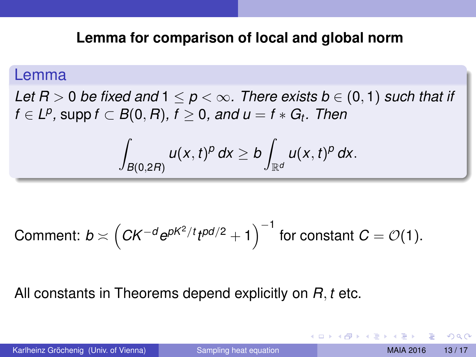#### **Lemma for comparison of local and global norm**

#### Lemma

*Let*  $R > 0$  *be fixed and*  $1 < p < \infty$ . There exists  $b \in (0, 1)$  such that if  $f \in L^p$ , supp  $f \subset B(0,R)$ ,  $f \geq 0$ , and  $u = f \ast G_t$ . Then

$$
\int_{B(0,2R)} u(x,t)^p dx \ge b \int_{\mathbb{R}^d} u(x,t)^p dx.
$$

Comment: 
$$
b \asymp \left( CK^{-d} e^{pK^2/t} t^{pd/2} + 1 \right)^{-1}
$$
 for constant  $C = \mathcal{O}(1)$ .

#### All constants in Theorems depend explicitly on *R*, *t* etc.

 $\Omega$ 

イロト イ押 トイラト イラト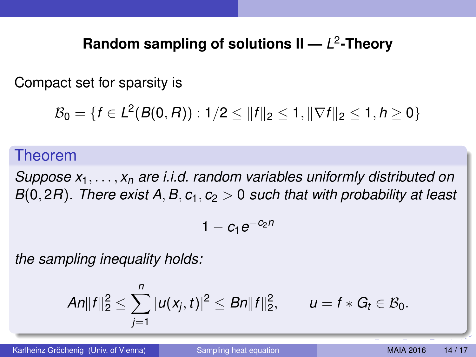# **Random sampling of solutions II —** *L* 2 **-Theory**

Compact set for sparsity is

$$
\mathcal{B}_0 = \{f \in L^2(B(0, R)) : 1/2 \leq ||f||_2 \leq 1, ||\nabla f||_2 \leq 1, h \geq 0\}
$$

#### Theorem

*Suppose x*1, . . . , *x<sup>n</sup> are i.i.d. random variables uniformly distributed on B*(0, 2*R*)*. There exist A, B,*  $c_1$ *,*  $c_2 > 0$  *such that with probability at least* 

$$
1-c_1e^{-c_2n}\\
$$

*the sampling inequality holds:*

$$
An||f||_2^2 \leq \sum_{j=1}^n |u(x_j,t)|^2 \leq Bn||f||_2^2, \qquad u = f * G_t \in \mathcal{B}_0.
$$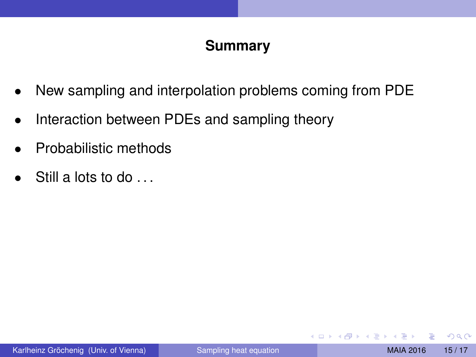## **Summary**

- New sampling and interpolation problems coming from PDE
- Interaction between PDEs and sampling theory
- Probabilistic methods
- Still a lots to do ...

∋⇒

 $\Omega$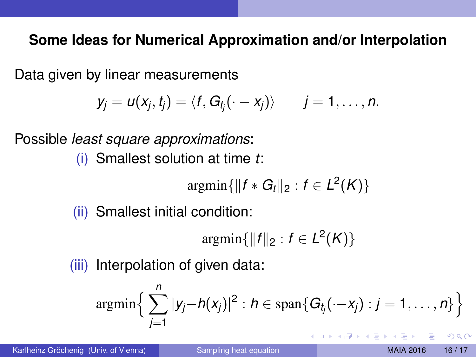#### **Some Ideas for Numerical Approximation and/or Interpolation**

Data given by linear measurements

$$
y_j = u(x_j, t_j) = \langle f, G_{t_j}(\cdot - x_j) \rangle \qquad j = 1, \ldots, n.
$$

Possible *least square approximations*:

(i) Smallest solution at time *t*:

$$
\operatorname{argmin}\{\|f * G_t\|_2 : f \in L^2(K)\}
$$

(ii) Smallest initial condition:

 $\argmin\{\|f\|_2 : f \in L^2(K)\}\$ 

(iii) Interpolation of given data:

$$
\operatorname{argmin}\Big\{\sum_{j=1}^n |y_j-h(x_j)|^2 : h \in \operatorname{span}\{G_{t_j}(\cdot-x_j): j=1,\ldots,n\}\Big\}
$$

Karlheinz Gröchenig (Univ. of Vienna) [Sampling heat equation](#page-0-0) MAIA 2016 16/17

<span id="page-15-0"></span> $\Omega$